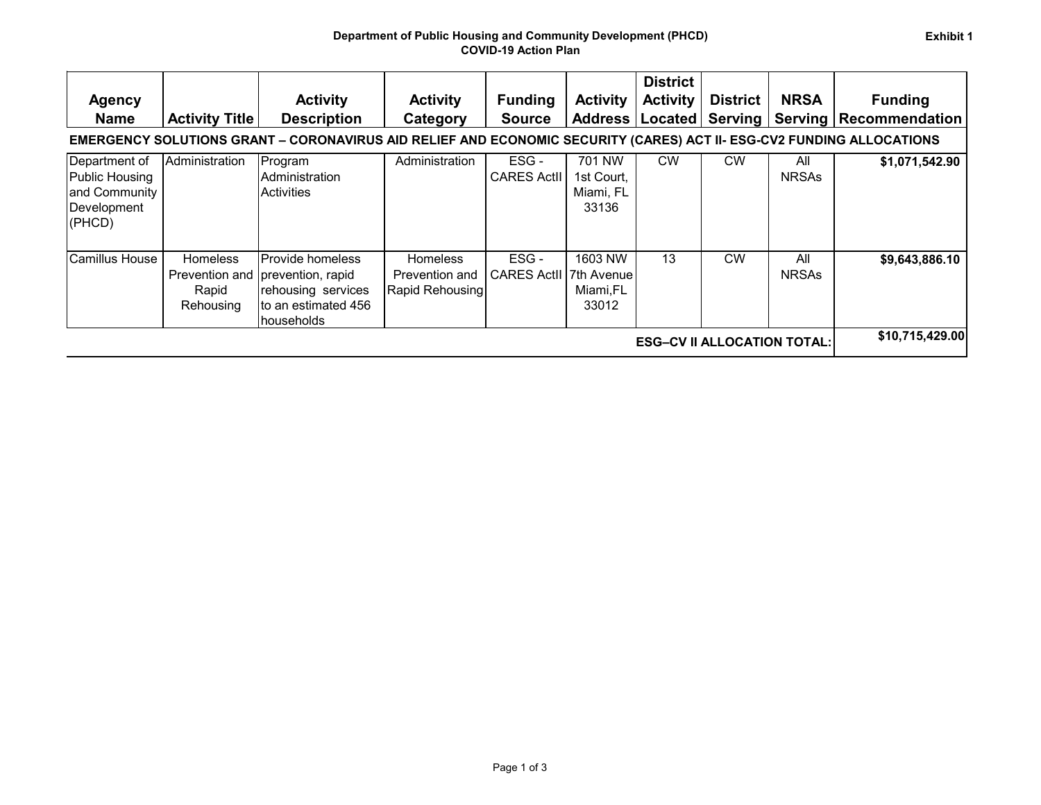| <b>Agency</b><br><b>Name</b>                                              | <b>Activity Title</b>                 | <b>Activity</b><br><b>Description</b><br>EMERGENCY SOLUTIONS GRANT - CORONAVIRUS AID RELIEF AND ECONOMIC SECURITY (CARES) ACT II- ESG-CV2 FUNDING ALLOCATIONS | <b>Activity</b><br>Category                                 | <b>Funding</b><br><b>Source</b>       | <b>Activity</b>                            | <b>District</b><br><b>Activity</b><br>Address   Located | <b>District</b><br>Serving | <b>NRSA</b>         | <b>Funding</b><br><b>Serving Recommendation</b> |
|---------------------------------------------------------------------------|---------------------------------------|---------------------------------------------------------------------------------------------------------------------------------------------------------------|-------------------------------------------------------------|---------------------------------------|--------------------------------------------|---------------------------------------------------------|----------------------------|---------------------|-------------------------------------------------|
| Department of<br>Public Housing<br>and Community<br>Development<br>(PHCD) | Administration                        | Program<br>Administration<br>Activities                                                                                                                       | Administration                                              | ESG-<br><b>CARES Actll</b>            | 701 NW<br>1st Court,<br>Miami, FL<br>33136 | <b>CW</b>                                               | <b>CW</b>                  | All<br><b>NRSAs</b> | \$1,071,542.90                                  |
| Camillus House                                                            | <b>Homeless</b><br>Rapid<br>Rehousing | Provide homeless<br>Prevention and prevention, rapid<br>rehousing services<br>to an estimated 456<br>Ihouseholds                                              | <b>Homeless</b><br><b>Prevention and</b><br>Rapid Rehousing | ESG-<br><b>CARES ActII 7th Avenue</b> | 1603 NW<br>Miami,FL<br>33012               | 13                                                      | <b>CW</b>                  | All<br><b>NRSAs</b> | \$9,643,886.10                                  |
| <b>ESG-CV II ALLOCATION TOTAL:</b>                                        |                                       |                                                                                                                                                               |                                                             |                                       |                                            |                                                         |                            |                     | \$10,715,429.00                                 |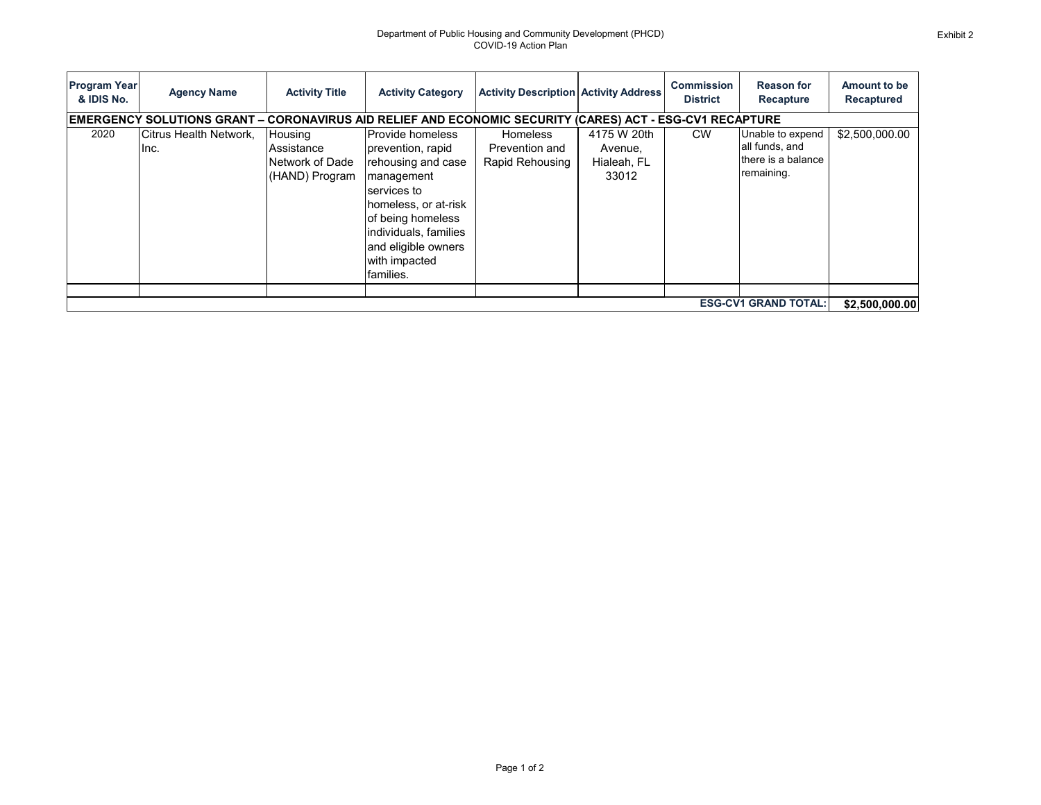| <b>Program Year</b><br>& IDIS No. | <b>Agency Name</b>                                                                                       | <b>Activity Title</b>                                      | <b>Activity Category</b>                                                                                                                                                                                                   | <b>Activity Description Activity Address</b>         |                                                | <b>Commission</b><br><b>District</b> | <b>Reason for</b><br>Recapture                                         | Amount to be<br>Recaptured |
|-----------------------------------|----------------------------------------------------------------------------------------------------------|------------------------------------------------------------|----------------------------------------------------------------------------------------------------------------------------------------------------------------------------------------------------------------------------|------------------------------------------------------|------------------------------------------------|--------------------------------------|------------------------------------------------------------------------|----------------------------|
|                                   | EMERGENCY SOLUTIONS GRANT – CORONAVIRUS AID RELIEF AND ECONOMIC SECURITY (CARES) ACT - ESG-CV1 RECAPTURE |                                                            |                                                                                                                                                                                                                            |                                                      |                                                |                                      |                                                                        |                            |
| 2020                              | Citrus Health Network.<br>Inc.                                                                           | Housing<br>Assistance<br>Network of Dade<br>(HAND) Program | <b>Provide homeless</b><br>prevention, rapid<br>rehousing and case<br>management<br>services to<br>homeless, or at-risk<br>of being homeless<br>individuals, families<br>and eligible owners<br>with impacted<br>families. | <b>Homeless</b><br>Prevention and<br>Rapid Rehousing | 4175 W 20th<br>Avenue,<br>Hialeah, FL<br>33012 | <b>CW</b>                            | Unable to expend<br>all funds, and<br>there is a balance<br>remaining. | \$2,500,000.00             |
| <b>ESG-CV1 GRAND TOTAL:</b>       |                                                                                                          |                                                            |                                                                                                                                                                                                                            |                                                      |                                                |                                      |                                                                        |                            |